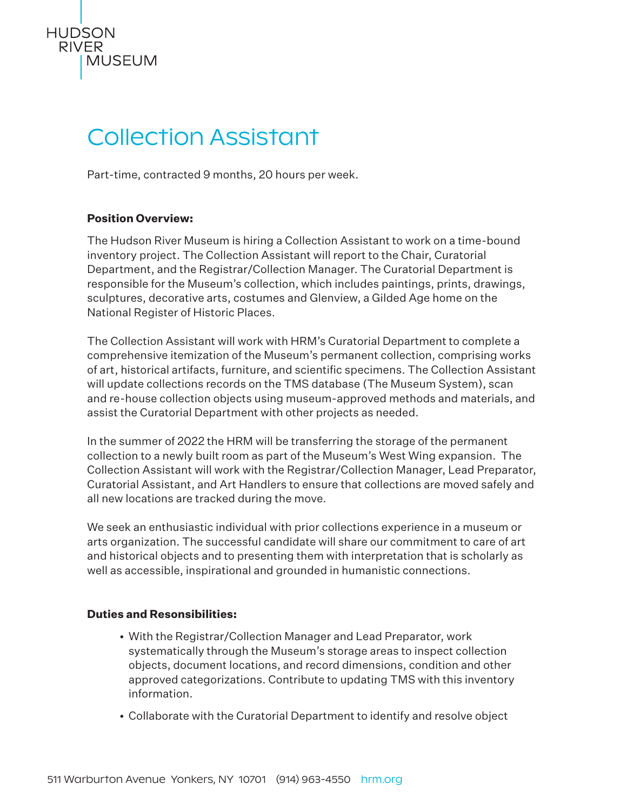

# Collection Assistant

Part-time, contracted 9 months, 20 hours per week.

## **Position Overview:**

The Hudson River Museum is hiring a Collection Assistant to work on a time-bound inventory project. The Collection Assistant will report to the Chair, Curatorial Department, and the Registrar/Collection Manager. The Curatorial Department is responsible for the Museum's collection, which includes paintings, prints, drawings, sculptures, decorative arts, costumes and Glenview, a Gilded Age home on the National Register of Historic Places.

The Collection Assistant will work with HRM's Curatorial Department to complete a comprehensive itemization of the Museum's permanent collection, comprising works of art, historical artifacts, furniture, and scientific specimens. The Collection Assistant will update collections records on the TMS database (The Museum System), scan and re-house collection objects using museum-approved methods and materials, and assist the Curatorial Department with other projects as needed.

In the summer of 2022 the HRM will be transferring the storage of the permanent collection to a newly built room as part of the Museum's West Wing expansion. The Collection Assistant will work with the Registrar/Collection Manager, Lead Preparator, Curatorial Assistant, and Art Handlers to ensure that collections are moved safely and all new locations are tracked during the move.

We seek an enthusiastic individual with prior collections experience in a museum or arts organization. The successful candidate will share our commitment to care of art and historical objects and to presenting them with interpretation that is scholarly as well as accessible, inspirational and grounded in humanistic connections.

## **Duties and Resonsibilities:**

- With the Registrar/Collection Manager and Lead Preparator, work systematically through the Museum's storage areas to inspect collection objects, document locations, and record dimensions, condition and other approved categorizations. Contribute to updating TMS with this inventory information.
- Collaborate with the Curatorial Department to identify and resolve object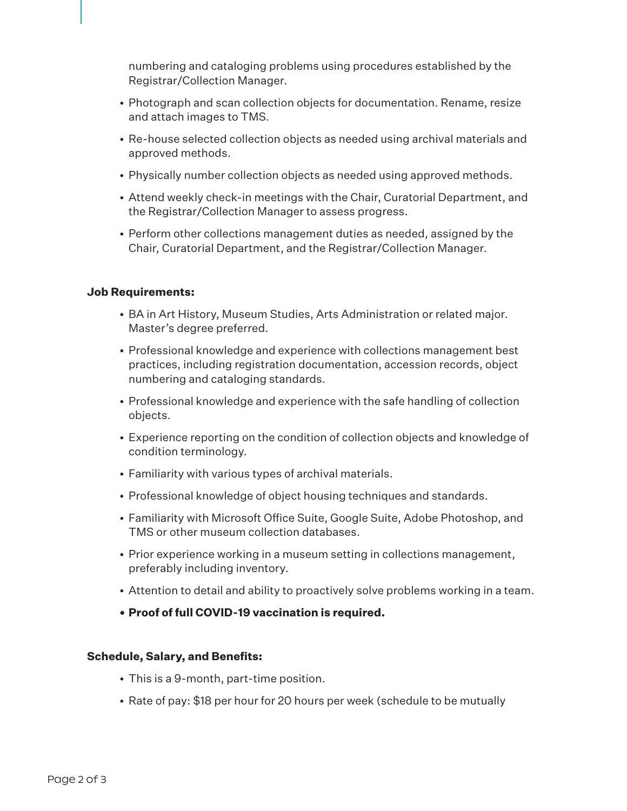numbering and cataloging problems using procedures established by the Registrar/Collection Manager.

- Photograph and scan collection objects for documentation. Rename, resize and attach images to TMS.
- Re-house selected collection objects as needed using archival materials and approved methods.
- Physically number collection objects as needed using approved methods.
- Attend weekly check-in meetings with the Chair, Curatorial Department, and the Registrar/Collection Manager to assess progress.
- Perform other collections management duties as needed, assigned by the Chair, Curatorial Department, and the Registrar/Collection Manager.

### **Job Requirements:**

- BA in Art History, Museum Studies, Arts Administration or related major. Master's degree preferred.
- Professional knowledge and experience with collections management best practices, including registration documentation, accession records, object numbering and cataloging standards.
- Professional knowledge and experience with the safe handling of collection objects.
- Experience reporting on the condition of collection objects and knowledge of condition terminology.
- Familiarity with various types of archival materials.
- Professional knowledge of object housing techniques and standards.
- Familiarity with Microsoft Office Suite, Google Suite, Adobe Photoshop, and TMS or other museum collection databases.
- Prior experience working in a museum setting in collections management, preferably including inventory.
- Attention to detail and ability to proactively solve problems working in a team.
- **• Proof of full COVID-19 vaccination is required.**

### **Schedule, Salary, and Benefits:**

- This is a 9-month, part-time position.
- Rate of pay: \$18 per hour for 20 hours per week (schedule to be mutually